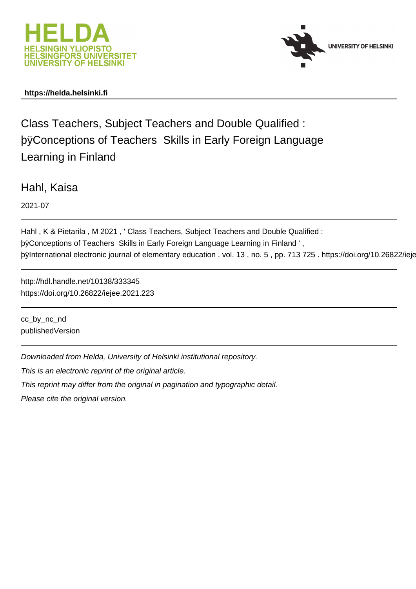



# **https://helda.helsinki.fi**

Class Teachers, Subject Teachers and Double Qualified : þÿConceptions of Teachers Skills in Early Foreign Learning in Finland

Hahl, Kaisa

2021-07

```
Hahl , K & Pietarila , M 2021 , ' Class Teachers, Subject Teachers and Double Qualified :
þÿConceptions of Teachers  Skills in Early Foreign Language Learning in Finland ' ,
þÿInternational electronic journal of elementary education , vol. 13, no.
```
http://hdl.handle.net/10138/333345 https://doi.org/10.26822/iejee.2021.223

cc\_by\_nc\_nd publishedVersion

Downloaded from Helda, University of Helsinki institutional repository.

This is an electronic reprint of the original article.

This reprint may differ from the original in pagination and typographic detail.

Please cite the original version.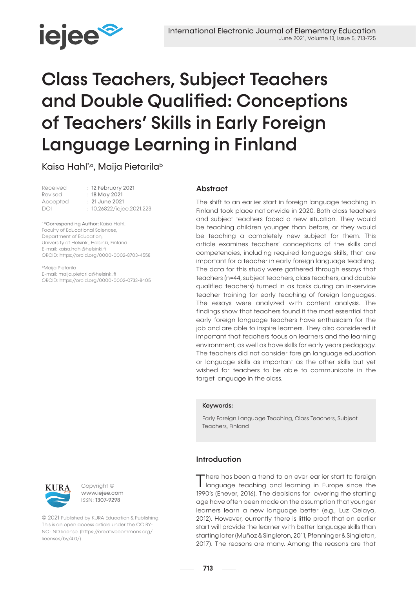

# Class Teachers, Subject Teachers and Double Qualified: Conceptions of Teachers' Skills in Early Foreign Language Learning in Finland

Kaisa Hahl<sup>\*,a</sup>, Maija Pietarila<sup>b</sup>

| Received | : 12 February 2021        |
|----------|---------------------------|
| Revised  | : 18 May 2021             |
| Accepted | $: 21$ June 2021          |
| DOI      | : 10.26822/iejee.2021.223 |
|          |                           |

\*<sup>a</sup>Corresponding Author: Kaisa Hahl, Faculty of Educational Sciences, Department of Education, University of Helsinki, Helsinki, Finland. E-mail: kaisa.hahl@helsinki.fi ORCID: https://orcid.org/0000-0002-8703-4558

bMaija Pietarila E-mail: maija.pietarila@helsinki.fi ORCID: https://orcid.org/0000-0002-0733-8405

# Abstract

The shift to an earlier start in foreign language teaching in Finland took place nationwide in 2020. Both class teachers and subject teachers faced a new situation. They would be teaching children younger than before, or they would be teaching a completely new subject for them. This article examines teachers' conceptions of the skills and competencies, including required language skills, that are important for a teacher in early foreign language teaching. The data for this study were gathered through essays that teachers (n=44, subject teachers, class teachers, and double qualified teachers) turned in as tasks during an in-service teacher training for early teaching of foreign languages. The essays were analyzed with content analysis. The findings show that teachers found it the most essential that early foreign language teachers have enthusiasm for the job and are able to inspire learners. They also considered it important that teachers focus on learners and the learning environment, as well as have skills for early years pedagogy. The teachers did not consider foreign language education or language skills as important as the other skills but yet wished for teachers to be able to communicate in the target language in the class.

# Keywords:

Early Foreign Language Teaching, Class Teachers, Subject Teachers, Finland

# Introduction

There has been a trend to an ever-earlier start to foreign language teaching and learning in Europe since the 1990's (Enever, 2016). The decisions for lowering the starting age have often been made on the assumption that younger learners learn a new language better (e.g., Luz Celaya, 2012). However, currently there is little proof that an earlier start will provide the learner with better language skills than starting later (Muñoz & Singleton, 2011; Pfenninger & Singleton, 2017). The reasons are many. Among the reasons are that



Copyright © www.iejee.com ISSN: 1307-9298

© 2021 Published by KURA Education & Publishing. This is an open access article under the CC BY-NC- ND license. (https://creativecommons.org/ licenses/by/4.0/)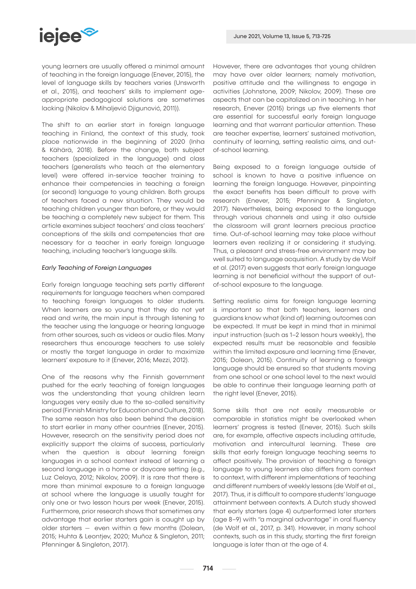

young learners are usually offered a minimal amount of teaching in the foreign language (Enever, 2015), the level of language skills by teachers varies (Unsworth et al., 2015), and teachers' skills to implement ageappropriate pedagogical solutions are sometimes lacking (Nikolov & Mihaljević Djigunović, 2011)).

The shift to an earlier start in foreign language teaching in Finland, the context of this study, took place nationwide in the beginning of 2020 (Inha & Kähärä, 2018). Before the change, both subject teachers (specialized in the language) and class teachers (generalists who teach at the elementary level) were offered in-service teacher training to enhance their competencies in teaching a foreign (or second) language to young children. Both groups of teachers faced a new situation. They would be teaching children younger than before, or they would be teaching a completely new subject for them. This article examines subject teachers' and class teachers' conceptions of the skills and competencies that are necessary for a teacher in early foreign language teaching, including teacher's language skills.

## *Early Teaching of Foreign Languages*

Early foreign language teaching sets partly different requirements for language teachers when compared to teaching foreign languages to older students. When learners are so young that they do not yet read and write, the main input is through listening to the teacher using the language or hearing language from other sources, such as videos or audio files. Many researchers thus encourage teachers to use solely or mostly the target language in order to maximize learners' exposure to it (Enever, 2016; Mezzi, 2012).

One of the reasons why the Finnish government pushed for the early teaching of foreign languages was the understanding that young children learn languages very easily due to the so-called sensitivity period (Finnish Ministry for Education and Culture, 2018). The same reason has also been behind the decision to start earlier in many other countries (Enever, 2015). However, research on the sensitivity period does not explicitly support the claims of success, particularly when the question is about learning foreign languages in a school context instead of learning a second language in a home or daycare setting (e.g., Luz Celaya, 2012; Nikolov, 2009). It is rare that there is more than minimal exposure to a foreign language at school where the language is usually taught for only one or two lesson hours per week (Enever, 2015). Furthermore, prior research shows that sometimes any advantage that earlier starters gain is caught up by older starters ̶ even within a few months (Dolean, 2015; Huhta & Leontjev, 2020; Muñoz & Singleton, 2011; Pfenninger & Singleton, 2017).

However, there are advantages that young children may have over older learners; namely motivation, positive attitude and the willingness to engage in activities (Johnstone, 2009; Nikolov, 2009). These are aspects that can be capitalized on in teaching. In her research, Enever (2015) brings up five elements that are essential for successful early foreign language learning and that warrant particular attention. These are teacher expertise, learners' sustained motivation, continuity of learning, setting realistic aims, and outof-school learning.

Being exposed to a foreign language outside of school is known to have a positive influence on learning the foreign language. However, pinpointing the exact benefits has been difficult to prove with research (Enever, 2015; Pfenninger & Singleton, 2017). Nevertheless, being exposed to the language through various channels and using it also outside the classroom will grant learners precious practice time. Out-of-school learning may take place without learners even realizing it or considering it studying. Thus, a pleasant and stress-free environment may be well suited to language acquisition. A study by de Wolf et al. (2017) even suggests that early foreign language learning is not beneficial without the support of outof-school exposure to the language.

Setting realistic aims for foreign language learning is important so that both teachers, learners and guardians know what (kind of) learning outcomes can be expected. It must be kept in mind that in minimal input instruction (such as 1–2 lesson hours weekly), the expected results must be reasonable and feasible within the limited exposure and learning time (Enever, 2015; Dolean, 2015). Continuity of learning a foreign language should be ensured so that students moving from one school or one school level to the next would be able to continue their language learning path at the right level (Enever, 2015).

Some skills that are not easily measurable or comparable in statistics might be overlooked when learners' progress is tested (Enever, 2015). Such skills are, for example, affective aspects including attitude, motivation and intercultural learning. These are skills that early foreign language teaching seems to affect positively. The provision of teaching a foreign language to young learners also differs from context to context, with different implementations of teaching and different numbers of weekly lessons (de Wolf et al., 2017). Thus, it is difficult to compare students' language attainment between contexts. A Dutch study showed that early starters (age 4) outperformed later starters (age 8–9) with "a marginal advantage" in oral fluency (de Wolf et al., 2017, p. 341). However, in many school contexts, such as in this study, starting the first foreign language is later than at the age of 4.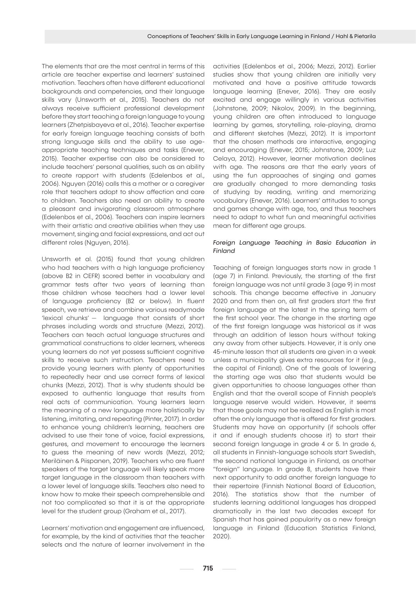The elements that are the most central in terms of this article are teacher expertise and learners' sustained motivation. Teachers often have different educational backgrounds and competencies, and their language skills vary (Unsworth et al., 2015). Teachers do not always receive sufficient professional development before they start teaching a foreign language to young learners (Zhetpisbayeva et al., 2016). Teacher expertise for early foreign language teaching consists of both strong language skills and the ability to use ageappropriate teaching techniques and tasks (Enever, 2015). Teacher expertise can also be considered to include teachers' personal qualities, such as an ability to create rapport with students (Edelenbos et al., 2006). Nguyen (2016) calls this a mother or a caregiver role that teachers adopt to show affection and care to children. Teachers also need an ability to create a pleasant and invigorating classroom atmosphere (Edelenbos et al., 2006). Teachers can inspire learners with their artistic and creative abilities when they use movement, singing and facial expressions, and act out different roles (Nguyen, 2016).

Unsworth et al. (2015) found that young children who had teachers with a high language proficiency (above B2 in CEFR) scored better in vocabulary and grammar tests after two years of learning than those children whose teachers had a lower level of language proficiency (B2 or below). In fluent speech, we retrieve and combine various readymade 'lexical chunks' ̶ language that consists of short phrases including words and structure (Mezzi, 2012). Teachers can teach actual language structures and grammatical constructions to older learners, whereas young learners do not yet possess sufficient cognitive skills to receive such instruction. Teachers need to provide young learners with plenty of opportunities to repeatedly hear and use correct forms of lexical chunks (Mezzi, 2012). That is why students should be exposed to authentic language that results from real acts of communication. Young learners learn the meaning of a new language more holistically by listening, imitating, and repeating (Pinter, 2017). In order to enhance young children's learning, teachers are advised to use their tone of voice, facial expressions, gestures, and movement to encourage the learners to guess the meaning of new words (Mezzi, 2012; Meriläinen & Piispanen, 2019). Teachers who are fluent speakers of the target language will likely speak more target language in the classroom than teachers with a lower level of language skills. Teachers also need to know how to make their speech comprehensible and not too complicated so that it is at the appropriate level for the student group (Graham et al., 2017).

Learners' motivation and engagement are influenced, for example, by the kind of activities that the teacher selects and the nature of learner involvement in the

activities (Edelenbos et al., 2006; Mezzi, 2012). Earlier studies show that young children are initially very motivated and have a positive attitude towards language learning (Enever, 2016). They are easily excited and engage willingly in various activities (Johnstone, 2009; Nikolov, 2009). In the beginning, young children are often introduced to language learning by games, storytelling, role-playing, drama and different sketches (Mezzi, 2012). It is important that the chosen methods are interactive, engaging and encouraging (Enever, 2015; Johnstone, 2009; Luz Celaya, 2012). However, learner motivation declines with age. The reasons are that the early years of using the fun approaches of singing and games are gradually changed to more demanding tasks of studying by reading, writing and memorizing vocabulary (Enever, 2016). Learners' attitudes to songs and games change with age, too, and thus teachers need to adapt to what fun and meaningful activities mean for different age groups.

# *Foreign Language Teaching in Basic Education in Finland*

Teaching of foreign languages starts now in grade 1 (age 7) in Finland. Previously, the starting of the first foreign language was not until grade 3 (age 9) in most schools. This change became effective in January 2020 and from then on, all first graders start the first foreign language at the latest in the spring term of the first school year. The change in the starting age of the first foreign language was historical as it was through an addition of lesson hours without taking any away from other subjects. However, it is only one 45-minute lesson that all students are given in a week unless a municipality gives extra resources for it (e.g., the capital of Finland). One of the goals of lowering the starting age was also that students would be given opportunities to choose languages other than English and that the overall scope of Finnish people's language reserve would widen. However, it seems that those goals may not be realized as English is most often the only language that is offered for first graders. Students may have an opportunity (if schools offer it and if enough students choose it) to start their second foreign language in grade 4 or 5. In grade 6, all students in Finnish-language schools start Swedish, the second national language in Finland, as another "foreign" language. In grade 8, students have their next opportunity to add another foreign language to their repertoire (Finnish National Board of Education, 2016). The statistics show that the number of students learning additional languages has dropped dramatically in the last two decades except for Spanish that has gained popularity as a new foreign language in Finland (Education Statistics Finland, 2020).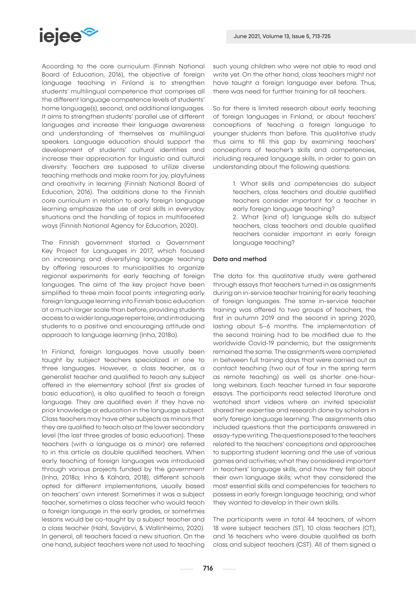# **iejee<sup>s</sup>**

According to the core curriculum (Finnish National Board of Education, 2016), the objective of foreign language teaching in Finland is to strengthen students' multilingual competence that comprises all the different language competence levels of students' home language(s), second, and additional languages. It aims to strengthen students' parallel use of different languages and increase their language awareness and understanding of themselves as multilingual speakers. Language education should support the development of students' cultural identities and increase their appreciation for linguistic and cultural diversity. Teachers are supposed to utilize diverse teaching methods and make room for joy, playfulness and creativity in learning (Finnish National Board of Education, 2016). The additions done to the Finnish core curriculum in relation to early foreign language learning emphasize the use of oral skills in everyday situations and the handling of topics in multifaceted ways (Finnish National Agency for Education, 2020).

The Finnish government started a Government Key Project for Languages in 2017, which focused on increasing and diversifying language teaching by offering resources to municipalities to organize regional experiments for early teaching of foreign languages. The aims of the key project have been simplified to three main focal points: integrating early foreign language learning into Finnish basic education at a much larger scale than before, providing students access to a wider language repertoire, and introducing students to a positive and encouraging attitude and approach to language learning (Inha, 2018a).

In Finland, foreign languages have usually been taught by subject teachers specialized in one to three languages. However, a class teacher, as a generalist teacher and qualified to teach any subject offered in the elementary school (first six grades of basic education), is also qualified to teach a foreign language. They are qualified even if they have no prior knowledge or education in the language subject. Class teachers may have other subjects as minors that they are qualified to teach also at the lower secondary level (the last three grades of basic education). These teachers (with a language as a minor) are referred to in this article as double qualified teachers. When early teaching of foreign languages was introduced through various projects funded by the government (Inha, 2018a; Inha & Kähärä, 2018), different schools opted for different implementations, usually based on teachers' own interest. Sometimes it was a subject teacher, sometimes a class teacher who would teach a foreign language in the early grades, or sometimes lessons would be co-taught by a subject teacher and a class teacher (Hahl, Savijärvi, & Wallinheimo, 2020). In general, all teachers faced a new situation. On the one hand, subject teachers were not used to teaching such young children who were not able to read and write yet. On the other hand, class teachers might not have taught a foreign language ever before. Thus, there was need for further training for all teachers.

So far there is limited research about early teaching of foreign languages in Finland, or about teachers' conceptions of teaching a foreign language to younger students than before. This qualitative study thus aims to fill this gap by examining teachers' conceptions of teacher's skills and competencies, including required language skills, in order to gain an understanding about the following questions:

> 1. What skills and competencies do subject teachers, class teachers and double qualified teachers consider important for a teacher in early foreign language teaching?

> 2. What (kind of) language skills do subject teachers, class teachers and double qualified teachers consider important in early foreign language teaching?

# Data and method

The data for this qualitative study were gathered through essays that teachers turned in as assignments during an in-service teacher training for early teaching of foreign languages. The same in-service teacher training was offered to two groups of teachers, the first in autumn 2019 and the second in spring 2020, lasting about 5–6 months. The implementation of the second training had to be modified due to the worldwide Covid-19 pandemic, but the assignments remained the same. The assignments were completed in between full training days that were carried out as contact teaching (two out of four in the spring term as remote teaching) as well as shorter one-hourlong webinars. Each teacher turned in four separate essays. The participants read selected literature and watched short videos where an invited specialist shared her expertise and research done by scholars in early foreign language learning. The assignments also included questions that the participants answered in essay-type writing. The questions posed to the teachers related to the teachers' conceptions and approaches to supporting student learning and the use of various games and activities; what they considered important in teachers' language skills, and how they felt about their own language skills; what they considered the most essential skills and competencies for teachers to possess in early foreign language teaching; and what they wanted to develop in their own skills.

The participants were in total 44 teachers, of whom 18 were subject teachers (ST), 10 class teachers (CT), and 16 teachers who were double qualified as both class and subject teachers (CST). All of them signed a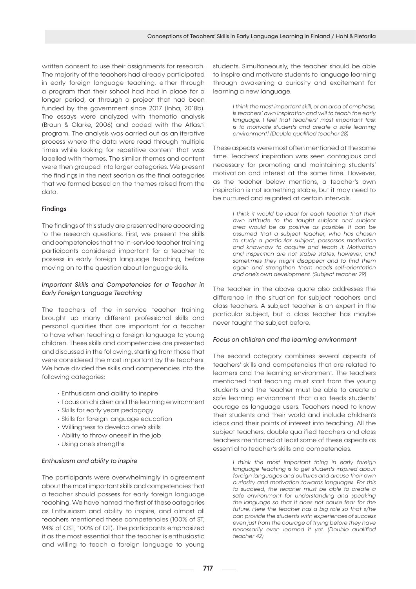written consent to use their assignments for research. The majority of the teachers had already participated in early foreign language teaching, either through a program that their school had had in place for a longer period, or through a project that had been funded by the government since 2017 (Inha, 2018b). The essays were analyzed with thematic analysis (Braun & Clarke, 2006) and coded with the Atlas.ti program. The analysis was carried out as an iterative process where the data were read through multiple times while looking for repetitive content that was labelled with themes. The similar themes and content were then grouped into larger categories. We present the findings in the next section as the final categories that we formed based on the themes raised from the data.

# Findings

The findings of this study are presented here according to the research questions. First, we present the skills and competencies that the in-service teacher training participants considered important for a teacher to possess in early foreign language teaching, before moving on to the question about language skills.

# *Important Skills and Competencies for a Teacher in Early Foreign Language Teaching*

The teachers of the in-service teacher training brought up many different professional skills and personal qualities that are important for a teacher to have when teaching a foreign language to young children. These skills and competencies are presented and discussed in the following, starting from those that were considered the most important by the teachers. We have divided the skills and competencies into the following categories:

- Enthusiasm and ability to inspire
- Focus on children and the learning environment
- Skills for early years pedagogy
- Skills for foreign language education
- Willingness to develop one's skills
- Ability to throw oneself in the job
- Using one's strengths

# *Enthusiasm and ability to inspire*

The participants were overwhelmingly in agreement about the most important skills and competencies that a teacher should possess for early foreign language teaching. We have named the first of these categories as Enthusiasm and ability to inspire, and almost all teachers mentioned these competencies (100% of ST, 94% of CST, 100% of CT). The participants emphasized it as the most essential that the teacher is enthusiastic and willing to teach a foreign language to young

students. Simultaneously, the teacher should be able to inspire and motivate students to language learning through awakening a curiosity and excitement for learning a new language.

> *I think the most important skill, or an area of emphasis, is teachers' own inspiration and will to teach the early language. I feel that teachers' most important task is to motivate students and create a safe learning environment.1 (Double qualified teacher 28)*

These aspects were most often mentioned at the same time. Teachers' inspiration was seen contagious and necessary for promoting and maintaining students' motivation and interest at the same time. However, as the teacher below mentions, a teacher's own inspiration is not something stable, but it may need to be nurtured and reignited at certain intervals.

> *I think it would be ideal for each teacher that their own attitude to the taught subject and subject area would be as positive as possible. It can be assumed that a subject teacher, who has chosen to study a particular subject, possesses motivation and knowhow to acquire and teach it. Motivation and inspiration are not stable states, however, and sometimes they might disappear and to find them again and strengthen them needs self-orientation and one's own development. (Subject teacher 29)*

The teacher in the above quote also addresses the difference in the situation for subject teachers and class teachers. A subject teacher is an expert in the particular subject, but a class teacher has maybe never taught the subject before.

#### *Focus on children and the learning environment*

The second category combines several aspects of teachers' skills and competencies that are related to learners and the learning environment. The teachers mentioned that teaching must start from the young students and the teacher must be able to create a safe learning environment that also feeds students' courage as language users. Teachers need to know their students and their world and include children's ideas and their points of interest into teaching. All the subject teachers, double qualified teachers and class teachers mentioned at least some of these aspects as essential to teacher's skills and competencies.

> *I think the most important thing in early foreign language teaching is to get students inspired about foreign languages and cultures and arouse their own curiosity and motivation towards languages. For this to succeed, the teacher must be able to create a safe environment for understanding and speaking the language so that it does not cause fear for the future. Here the teacher has a big role so that s/he can provide the students with experiences of success even just from the courage of trying before they have necessarily even learned it yet. (Double qualified teacher 42)*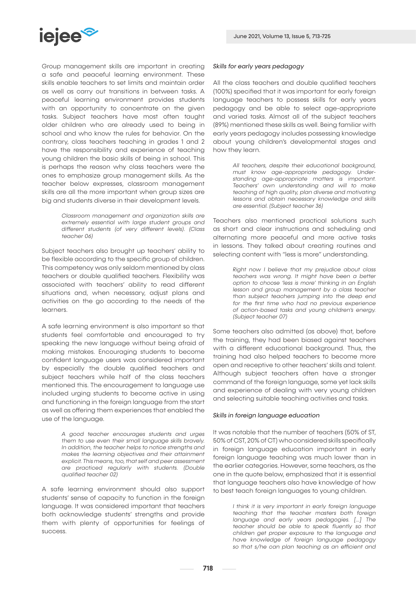

Group management skills are important in creating a safe and peaceful learning environment. These skills enable teachers to set limits and maintain order as well as carry out transitions in between tasks. A peaceful learning environment provides students with an opportunity to concentrate on the given tasks. Subject teachers have most often taught older children who are already used to being in school and who know the rules for behavior. On the contrary, class teachers teaching in grades 1 and 2 have the responsibility and experience of teaching young children the basic skills of being in school. This is perhaps the reason why class teachers were the ones to emphasize group management skills. As the teacher below expresses, classroom management skills are all the more important when group sizes are big and students diverse in their development levels.

> *Classroom management and organization skills are extremely essential with large student groups and different students (of very different levels). (Class teacher 06)*

Subject teachers also brought up teachers' ability to be flexible according to the specific group of children. This competency was only seldom mentioned by class teachers or double qualified teachers. Flexibility was associated with teachers' ability to read different situations and, when necessary, adjust plans and activities on the go according to the needs of the learners.

A safe learning environment is also important so that students feel comfortable and encouraged to try speaking the new language without being afraid of making mistakes. Encouraging students to become confident language users was considered important by especially the double qualified teachers and subject teachers while half of the class teachers mentioned this. The encouragement to language use included urging students to become active in using and functioning in the foreign language from the start as well as offering them experiences that enabled the use of the language.

> *A good teacher encourages students and urges them to use even their small language skills bravely. In addition, the teacher helps to notice strengths and makes the learning objectives and their attainment explicit. This means, too, that self and peer assessment are practiced regularly with students. (Double qualified teacher 02)*

A safe learning environment should also support students' sense of capacity to function in the foreign language. It was considered important that teachers both acknowledge students' strengths and provide them with plenty of opportunities for feelings of success.

# *Skills for early years pedagogy*

All the class teachers and double qualified teachers (100%) specified that it was important for early foreign language teachers to possess skills for early years pedagogy and be able to select age-appropriate and varied tasks. Almost all of the subject teachers (89%) mentioned these skills as well. Being familiar with early years pedagogy includes possessing knowledge about young children's developmental stages and how they learn.

> *All teachers, despite their educational background, must know age-appropriate pedagogy. Understanding age-appropriate matters is important. Teachers' own understanding and will to make teaching of high quality, plan diverse and motivating lessons and obtain necessary knowledge and skills are essential. (Subject teacher 36)*

Teachers also mentioned practical solutions such as short and clear instructions and scheduling and alternating more peaceful and more active tasks in lessons. They talked about creating routines and selecting content with "less is more" understanding.

> *Right now I believe that my prejudice about class teachers was wrong. It might have been a better option to choose 'less is more' thinking in an English lesson and group management by a class teacher than subject teachers jumping into the deep end for the first time who had no previous experience of action-based tasks and young children's energy. (Subject teacher 07)*

Some teachers also admitted (as above) that, before the training, they had been biased against teachers with a different educational background. Thus, the training had also helped teachers to become more open and receptive to other teachers' skills and talent. Although subject teachers often have a stronger command of the foreign language, some yet lack skills and experience of dealing with very young children and selecting suitable teaching activities and tasks.

# *Skills in foreign language education*

It was notable that the number of teachers (50% of ST, 50% of CST, 20% of CT) who considered skills specifically in foreign language education important in early foreign language teaching was much lower than in the earlier categories. However, some teachers, as the one in the quote below, emphasized that it is essential that language teachers also have knowledge of how to best teach foreign languages to young children.

> *I think it is very important in early foreign language teaching that the teacher masters both foreign language and early years pedagogies. […] The teacher should be able to speak fluently so that children get proper exposure to the language and have knowledge of foreign language pedagogy so that s/he can plan teaching as an efficient and*

718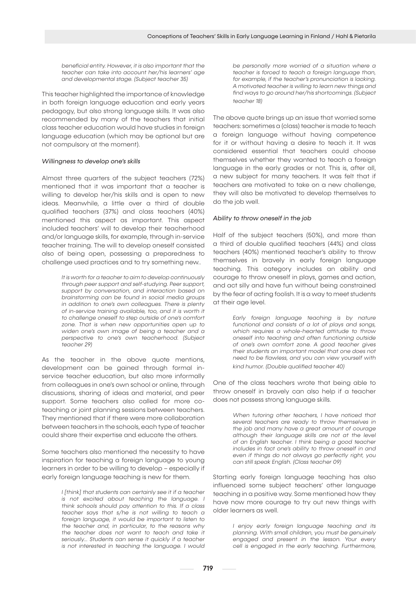*beneficial entity. However, it is also important that the teacher can take into account her/his learners' age and developmental stage. (Subject teacher 35)*

This teacher highlighted the importance of knowledge in both foreign language education and early years pedagogy, but also strong language skills. It was also recommended by many of the teachers that initial class teacher education would have studies in foreign language education (which may be optional but are not compulsory at the moment).

## *Willingness to develop one's skills*

Almost three quarters of the subject teachers (72%) mentioned that it was important that a teacher is willing to develop her/his skills and is open to new ideas. Meanwhile, a little over a third of double qualified teachers (37%) and class teachers (40%) mentioned this aspect as important. This aspect included teachers' will to develop their teacherhood and/or language skills, for example, through in-service teacher training. The will to develop oneself consisted also of being open, possessing a preparedness to challenge used practices and to try something new..

> *It is worth for a teacher to aim to develop continuously through peer support and self-studying. Peer support, support by conversation, and interaction based on brainstorming can be found in social media groups in addition to one's own colleagues. There is plenty of in-service training available, too, and it is worth it to challenge oneself to step outside of one's comfort zone. That is when new opportunities open up to widen one's own image of being a teacher and a perspective to one's own teacherhood. (Subject teacher 29)*

As the teacher in the above quote mentions, development can be gained through formal inservice teacher education, but also more informally from colleagues in one's own school or online, through discussions, sharing of ideas and material, and peer support. Some teachers also called for more coteaching or joint planning sessions between teachers. They mentioned that if there were more collaboration between teachers in the schools, each type of teacher could share their expertise and educate the others.

Some teachers also mentioned the necessity to have inspiration for teaching a foreign language to young learners in order to be willing to develop – especially if early foreign language teaching is new for them.

> *I [think] that students can certainly see it if a teacher is not excited about teaching the language. I think schools should pay attention to this. If a class teacher says that s/he is not willing to teach a foreign language, it would be important to listen to the teacher and, in particular, to the reasons why the teacher does not want to teach and take it seriously… Students can sense it quickly if a teacher is not interested in teaching the language. I would*

*be personally more worried of a situation where a teacher is forced to teach a foreign language than, for example, if the teacher's pronunciation is lacking. A motivated teacher is willing to learn new things and find ways to go around her/his shortcomings. (Subject teacher 18)*

The above quote brings up an issue that worried some teachers: sometimes a (class) teacher is made to teach a foreign language without having competence for it or without having a desire to teach it. It was considered essential that teachers could choose themselves whether they wanted to teach a foreign language in the early grades or not. This is, after all, a new subject for many teachers. It was felt that if teachers are motivated to take on a new challenge, they will also be motivated to develop themselves to do the job well.

### *Ability to throw oneself in the job*

Half of the subject teachers (50%), and more than a third of double qualified teachers (44%) and class teachers (40%) mentioned teacher's ability to throw themselves in bravely in early foreign language teaching. This category includes an ability and courage to throw oneself in plays, games and action, and act silly and have fun without being constrained by the fear of acting foolish. It is a way to meet students at their age level.

> *Early foreign language teaching is by nature functional and consists of a lot of plays and songs, which requires a whole-hearted attitude to throw oneself into teaching and often functioning outside of one's own comfort zone. A good teacher gives their students an important model that one does not need to be flawless, and you can view yourself with kind humor. (Double qualified teacher 40)*

One of the class teachers wrote that being able to throw oneself in bravely can also help if a teacher does not possess strong language skills.

> *When tutoring other teachers, I have noticed that several teachers are ready to throw themselves in the job and many have a great amount of courage although their language skills are not at the level of an English teacher. I think being a good teacher includes in fact one's ability to throw oneself in and even if things do not always go perfectly right, you can still speak English. (Class teacher 09)*

Starting early foreign language teaching has also influenced some subject teachers' other language teaching in a positive way. Some mentioned how they have now more courage to try out new things with older learners as well.

> *I enjoy early foreign language teaching and its planning. With small children, you must be genuinely engaged and present in the lesson. Your every cell is engaged in the early teaching. Furthermore,*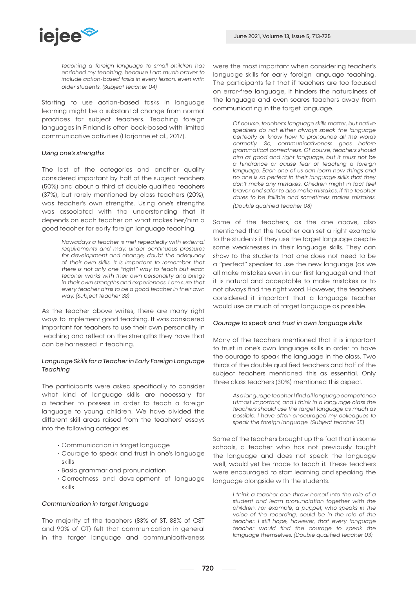

*teaching a foreign language to small children has enriched my teaching, because I am much braver to include action-based tasks in every lesson, even with older students. (Subject teacher 04)*

Starting to use action-based tasks in language learning might be a substantial change from normal practices for subject teachers. Teaching foreign languages in Finland is often book-based with limited communicative activities (Harjanne et al., 2017).

## *Using one's strengths*

The last of the categories and another quality considered important by half of the subject teachers (50%) and about a third of double qualified teachers (37%), but rarely mentioned by class teachers (20%), was teacher's own strengths. Using one's strengths was associated with the understanding that it depends on each teacher on what makes her/him a good teacher for early foreign language teaching.

> *Nowadays a teacher is met repeatedly with external requirements and may, under continuous pressures for development and change, doubt the adequacy of their own skills. It is important to remember that there is not only one "right" way to teach but each teacher works with their own personality and brings in their own strengths and experiences. I am sure that every teacher aims to be a good teacher in their own way. (Subject teacher 38)*

As the teacher above writes, there are many right ways to implement good teaching. It was considered important for teachers to use their own personality in teaching and reflect on the strengths they have that can be harnessed in teaching.

# *Language Skills for a Teacher in Early Foreign Language Teaching*

The participants were asked specifically to consider what kind of language skills are necessary for a teacher to possess in order to teach a foreign language to young children. We have divided the different skill areas raised from the teachers' essays into the following categories:

- Communication in target language
- Courage to speak and trust in one's language skills
- Basic grammar and pronunciation
- Correctness and development of language skills

#### *Communication in target language*

The majority of the teachers (83% of ST, 88% of CST and 90% of CT) felt that communication in general in the target language and communicativeness were the most important when considering teacher's language skills for early foreign language teaching. The participants felt that if teachers are too focused on error-free language, it hinders the naturalness of the language and even scares teachers away from communicating in the target language.

> *Of course, teacher's language skills matter, but native speakers do not either always speak the language perfectly or know how to pronounce all the words correctly. So, communicativeness goes before grammatical correctness. Of course, teachers should aim at good and right language, but it must not be a hindrance or cause fear of teaching a foreign language. Each one of us can learn new things and no one is so perfect in their language skills that they don't make any mistakes. Children might in fact feel braver and safer to also make mistakes, if the teacher dares to be fallible and sometimes makes mistakes. (Double qualified teacher 08)*

Some of the teachers, as the one above, also mentioned that the teacher can set a right example to the students if they use the target language despite some weaknesses in their language skills. They can show to the students that one does not need to be a "perfect" speaker to use the new language (as we all make mistakes even in our first language) and that it is natural and acceptable to make mistakes or to not always find the right word. However, the teachers considered it important that a language teacher would use as much of target language as possible.

#### *Courage to speak and trust in own language skills*

Many of the teachers mentioned that it is important to trust in one's own language skills in order to have the courage to speak the language in the class. Two thirds of the double qualified teachers and half of the subject teachers mentioned this as essential. Only three class teachers (30%) mentioned this aspect.

> *As a language teacher I find all language competence utmost important, and I think in a language class the teachers should use the target language as much as possible. I have often encouraged my colleagues to speak the foreign language. (Subject teacher 35)*

Some of the teachers brought up the fact that in some schools, a teacher who has not previously taught the language and does not speak the language well, would yet be made to teach it. These teachers were encouraged to start learning and speaking the language alongside with the students.

> *I think a teacher can throw herself into the role of a student and learn pronunciation together with the children. For example, a puppet, who speaks in the voice of the recording, could be in the role of the teacher. I still hope, however, that every language teacher would find the courage to speak the language themselves. (Double qualified teacher 03)*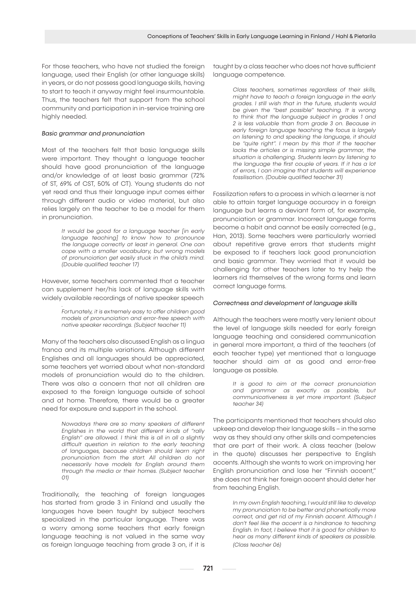For those teachers, who have not studied the foreign language, used their English (or other language skills) in years, or do not possess good language skills, having to start to teach it anyway might feel insurmountable. Thus, the teachers felt that support from the school community and participation in in-service training are highly needed.

## *Basic grammar and pronunciation*

Most of the teachers felt that basic language skills were important. They thought a language teacher should have good pronunciation of the language and/or knowledge of at least basic grammar (72% of ST, 69% of CST, 50% of CT). Young students do not yet read and thus their language input comes either through different audio or video material, but also relies largely on the teacher to be a model for them in pronunciation.

> *It would be good for a language teacher [in early language teaching] to know how to pronounce the language correctly at least in general. One can cope with a smaller vocabulary, but wrong models of pronunciation get easily stuck in the child's mind. (Double qualified teacher 17)*

However, some teachers commented that a teacher can supplement her/his lack of language skills with widely available recordings of native speaker speech

*.*

*Fortunately, it is extremely easy to offer children good models of pronunciation and error-free speech with native speaker recordings. (Subject teacher 11)*

Many of the teachers also discussed English as a lingua franca and its multiple variations. Although different Englishes and all languages should be appreciated, some teachers yet worried about what non-standard models of pronunciation would do to the children. There was also a concern that not all children are exposed to the foreign language outside of school and at home. Therefore, there would be a greater need for exposure and support in the school.

> *Nowadays there are so many speakers of different Englishes in the world that different kinds of "rally English" are allowed. I think this is all in all a slightly difficult question in relation to the early teaching of languages, because children should learn right pronunciation from the start. All children do not necessarily have models for English around them through the media or their homes. (Subject teacher 01)*

Traditionally, the teaching of foreign languages has started from grade 3 in Finland and usually the languages have been taught by subject teachers specialized in the particular language. There was a worry among some teachers that early foreign language teaching is not valued in the same way as foreign language teaching from grade 3 on, if it is

taught by a class teacher who does not have sufficient language competence.

> *Class teachers, sometimes regardless of their skills, might have to teach a foreign language in the early grades. I still wish that in the future, students would be given the "best possible" teaching. It is wrong to think that the language subject in grades 1 and 2 is less valuable than from grade 3 on. Because in early foreign language teaching the focus is largely on listening to and speaking the language, it should be "quite right". I mean by this that if the teacher lacks the articles or is missing simple grammar, the situation is challenging. Students learn by listening to the language the first couple of years. If it has a lot of errors, I can imagine that students will experience fossilisation. (Double qualified teacher 31)*

Fossilization refers to a process in which a learner is not able to attain target language accuracy in a foreign language but learns a deviant form of, for example, pronunciation or grammar. Incorrect language forms become a habit and cannot be easily corrected (e.g., Han, 2013). Some teachers were particularly worried about repetitive grave errors that students might be exposed to if teachers lack good pronunciation and basic grammar. They worried that it would be challenging for other teachers later to try help the learners rid themselves of the wrong forms and learn correct language forms.

#### *Correctness and development of language skills*

Although the teachers were mostly very lenient about the level of language skills needed for early foreign language teaching and considered communication in general more important, a third of the teachers (of each teacher type) yet mentioned that a language teacher should aim at as good and error-free language as possible.

> *It is good to aim at the correct pronunciation and grammar as exactly as possible, but communicativeness is yet more important. (Subject teacher 34)*

The participants mentioned that teachers should also upkeep and develop their language skills – in the same way as they should any other skills and competencies that are part of their work. A class teacher (below in the quote) discusses her perspective to English accents. Although she wants to work on improving her English pronunciation and lose her "Finnish accent," she does not think her foreign accent should deter her from teaching English.

> *In my own English teaching, I would still like to develop my pronunciation to be better and phonetically more correct, and get rid of my Finnish accent. Although I don't feel like the accent is a hindrance to teaching English. In fact, I believe that it is good for children to hear as many different kinds of speakers as possible. (Class teacher 06)*

721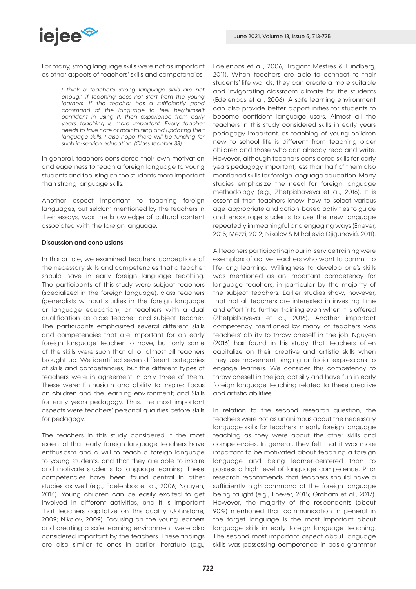

For many, strong language skills were not as important as other aspects of teachers' skills and competencies.

> *I think a teacher's strong language skills are not enough if teaching does not start from the young learners. If the teacher has a sufficiently good command of the language to feel her/himself confident in using it, then experience from early years teaching is more important. Every teacher needs to take care of maintaining and updating their language skills. I also hope there will be funding for such in-service education. (Class teacher 33)*

In general, teachers considered their own motivation and eagerness to teach a foreign language to young students and focusing on the students more important than strong language skills.

Another aspect important to teaching foreign languages, but seldom mentioned by the teachers in their essays, was the knowledge of cultural content associated with the foreign language.

## Discussion and conclusions

In this article, we examined teachers' conceptions of the necessary skills and competencies that a teacher should have in early foreign language teaching. The participants of this study were subject teachers (specialized in the foreign language), class teachers (generalists without studies in the foreign language or language education), or teachers with a dual qualification as class teacher and subject teacher. The participants emphasized several different skills and competencies that are important for an early foreign language teacher to have, but only some of the skills were such that all or almost all teachers brought up. We identified seven different categories of skills and competencies, but the different types of teachers were in agreement in only three of them. These were: Enthusiam and ability to inspire; Focus on children and the learning environment; and Skills for early years pedagogy. Thus, the most important aspects were teachers' personal qualities before skills for pedagogy.

The teachers in this study considered it the most essential that early foreign language teachers have enthusiasm and a will to teach a foreign language to young students, and that they are able to inspire and motivate students to language learning. These competencies have been found central in other studies as well (e.g., Edelenbos et al., 2006; Nguyen, 2016). Young children can be easily excited to get involved in different activities, and it is important that teachers capitalize on this quality (Johnstone, 2009; Nikolov, 2009). Focusing on the young learners and creating a safe learning environment were also considered important by the teachers. These findings are also similar to ones in earlier literature (e.g.,

Edelenbos et al., 2006; Tragant Mestres & Lundberg, 2011). When teachers are able to connect to their students' life worlds, they can create a more suitable and invigorating classroom climate for the students (Edelenbos et al., 2006). A safe learning environment can also provide better opportunities for students to become confident language users. Almost all the teachers in this study considered skills in early years pedagogy important, as teaching of young children new to school life is different from teaching older children and those who can already read and write. However, although teachers considered skills for early years pedagogy important, less than half of them also mentioned skills for foreign language education. Many studies emphasize the need for foreign language methodology (e.g., Zhetpisbayeva et al., 2016). It is essential that teachers know how to select various age-appropriate and action-based activities to guide and encourage students to use the new language repeatedly in meaningful and engaging ways (Enever, 2015; Mezzi, 2012; Nikolov & Mihaljević Djigunović, 2011).

All teachers participating in our in-service training were exemplars of active teachers who want to commit to life-long learning. Willingness to develop one's skills was mentioned as an important competency for language teachers, in particular by the majority of the subject teachers. Earlier studies show, however, that not all teachers are interested in investing time and effort into further training even when it is offered (Zhetpisbayeva et al., 2016). Another important competency mentioned by many of teachers was teachers' ability to throw oneself in the job. Nguyen (2016) has found in his study that teachers often capitalize on their creative and artistic skills when they use movement, singing or facial expressions to engage learners. We consider this competency to throw oneself in the job, act silly and have fun in early foreign language teaching related to these creative and artistic abilities.

In relation to the second research question, the teachers were not as unanimous about the necessary language skills for teachers in early foreign language teaching as they were about the other skills and competencies. In general, they felt that it was more important to be motivated about teaching a foreign language and being learner-centered than to possess a high level of language competence. Prior research recommends that teachers should have a sufficiently high command of the foreign language being taught (e.g., Enever, 2015; Graham et al., 2017). However, the majority of the respondents (about 90%) mentioned that communication in general in the target language is the most important about language skills in early foreign language teaching. The second most important aspect about language skills was possessing competence in basic grammar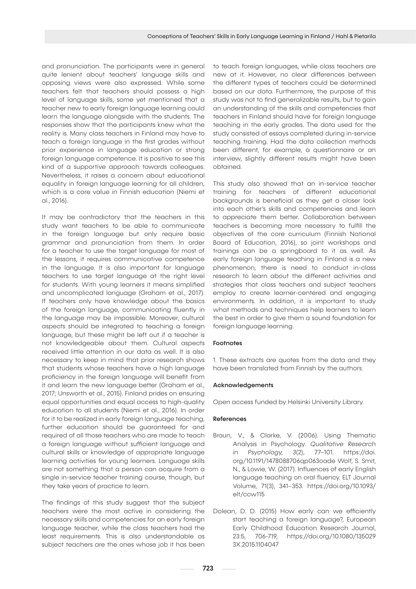and pronunciation. The participants were in general quite lenient about teachers' language skills and opposing views were also expressed. While some teachers felt that teachers should possess a high level of language skills, some yet mentioned that a teacher new to early foreign language learning could learn the language alongside with the students. The responses show that the participants knew what the reality is. Many class teachers in Finland may have to teach a foreign language in the first grades without prior experience in language education or strong foreign language competence. It is positive to see this kind of a supportive approach towards colleagues. Nevertheless, it raises a concern about educational equality in foreign language learning for all children, which is a core value in Finnish education (Niemi et al., 2016).

It may be contradictory that the teachers in this study want teachers to be able to communicate in the foreign language but only require basic grammar and pronunciation from them. In order for a teacher to use the target language for most of the lessons, it requires communicative competence in the language. It is also important for language teachers to use target language at the right level for students. With young learners it means simplified and uncomplicated language (Graham et al., 2017). If teachers only have knowledge about the basics of the foreign language, communicating fluently in the language may be impossible. Moreover, cultural aspects should be integrated to teaching a foreign language, but these might be left out if a teacher is not knowledgeable about them. Cultural aspects received little attention in our data as well. It is also necessary to keep in mind that prior research shows that students whose teachers have a high language proficiency in the foreign language will benefit from it and learn the new language better (Graham et al., 2017; Unsworth et al., 2015). Finland prides on ensuring equal opportunities and equal access to high-quality education to all students (Niemi et al., 2016). In order for it to be realized in early foreign language teaching, further education should be guaranteed for and required of all those teachers who are made to teach a foreign language without sufficient language and cultural skills or knowledge of appropriate language learning activities for young learners. Language skills are not something that a person can acquire from a single in-service teacher training course, though, but they take years of practice to learn.

The findings of this study suggest that the subject teachers were the most active in considering the necessary skills and competencies for an early foreign language teacher, while the class teachers had the least requirements. This is also understandable as subject teachers are the ones whose job it has been

to teach foreign languages, while class teachers are new at it. However, no clear differences between the different types of teachers could be determined based on our data. Furthermore, the purpose of this study was not to find generalizable results, but to gain an understanding of the skills and competencies that teachers in Finland should have for foreign language teaching in the early grades. The data used for the study consisted of essays completed during in-service teaching training. Had the data collection methods been different, for example, a questionnaire or an interview, slightly different results might have been obtained.

This study also showed that an in-service teacher training for teachers of different educational backgrounds is beneficial as they get a closer look into each other's skills and competencies and learn to appreciate them better. Collaboration between teachers is becoming more necessary to fulfill the objectives of the core curriculum (Finnish National Board of Education, 2016), so joint workshops and trainings can be a springboard to it as well. As early foreign language teaching in Finland is a new phenomenon, there is need to conduct in-class research to learn about the different activities and strategies that class teachers and subject teachers employ to create learner-centered and engaging environments. In addition, it is important to study what methods and techniques help learners to learn the best in order to give them a sound foundation for foreign language learning.

#### Footnotes

1. These extracts are quotes from the data and they have been translated from Finnish by the authors.

#### Acknowledgements

Open access funded by Helsinki University Library.

## References

- Braun, V., & Clarke, V. (2006). Using Thematic Analysis in Psychology. *Qualitative Research in Psychology, 3*(2), 77–101. https://doi. org/10.1191/1478088706qp063oade Wolf, S. Smit, N., & Lowie, W. (2017). Influences of early English language teaching on oral fluency. ELT Journal Volume, 71(3), 341–353. https://doi.org/10.1093/ elt/ccw115
- Dolean, D. D. (2015) How early can we efficiently start teaching a foreign language?, European Early Childhood Education Research Journal, 23:5, 706-719, https://doi.org/10.1080/135029 3X.2015.1104047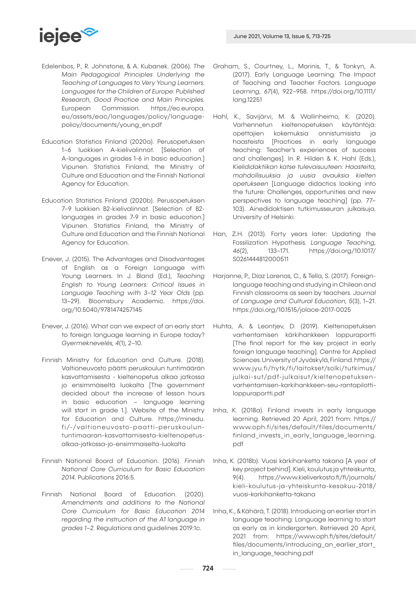

- Edelenbos, P., R. Johnstone, & A. Kubanek. (2006). *The Main Pedagogical Principles Underlying the Teaching of Languages to Very Young Learners. Languages for the Children of Europe: Published Research, Good Practice and Main Principles.*  European Commission. https://ec.europa. eu/assets/eac/languages/policy/languagepolicy/documents/young\_en.pdf
- Education Statistics Finland (2020a). Perusopetuksen 1–6 luokkien A-kielivalinnat. [Selection of A-languages in grades 1-6 in basic education.] Vipunen. Statistics Finland, the Ministry of Culture and Education and the Finnish National Agency for Education.
- Education Statistics Finland (2020b). Perusopetuksen 7–9 luokkien B2-kielivalinnat. [Selection of B2 languages in grades 7-9 in basic education.] Vipunen. Statistics Finland, the Ministry of Culture and Education and the Finnish National Agency for Education.
- Enever, J. (2015). The Advantages and Disadvantages of English as a Foreign Language with Young Learners. In J. Bland (Ed.), *Teaching English to Young Learners: Critical Issues in Language Teaching with 3–12 Year Olds* (pp. 13–29). Bloomsbury Academic. https://doi. org/10.5040/9781474257145
- Enever, J. (2016). What can we expect of an early start to foreign language learning in Europe today? *Gyermeknevelés, 4*(1), 2–10.
- Finnish Ministry for Education and Culture. (2018). Valtioneuvosto päätti peruskoulun tuntimäärän kasvattamisesta - kieltenopetus alkaa jatkossa jo ensimmäiseltä luokalta [The government decided about the increase of lesson hours in basic education – language learning will start in grade 1.]. Website of the Ministry for Education and Culture. https://minedu. fi/-/valtioneuvosto-paatti-peruskouluntuntimaaran-kasvattamisesta-kieltenopetusalkaa-jatkossa-jo-ensimmaiselta-luokalta
- Finnish National Board of Education. (2016). *Finnish National Core Curriculum for Basic Education 2014.* Publications 2016:5.
- Finnish National Board of Education. (2020). *Amendments and additions to the National Core Curriculum for Basic Education 2014 regarding the instruction of the A1 language in grades 1–2.* Regulations and guidelines 2019:1c.
- Graham, S., Courtney, L., Marinis, T., & Tonkyn, A. (2017). Early Language Learning: The Impact of Teaching and Teacher Factors. *Language Learning, 67*(4), 922–958. https://doi.org/10.1111/ lang.12251
- Hahl, K., Savijärvi, M. & Wallinheimo, K. (2020). Varhennetun kieltenopetuksen käytäntöjä: opettajien kokemuksia onnistumisista ja haasteista [Practices in early language teaching: Teacher's experiences of success and challenges]. In R. Hilden & K. Hahl (Eds.), *Kielididaktiikan katse tulevaisuuteen: Haasteita, mahdollisuuksia ja uusia avauksia kielten opetukseen* [Language didactics looking into the future: Challenges, opportunities and new perspectives to language teaching] (pp. 77– 103). Ainedidaktisen tutkimusseuran julkaisuja. University of Helsinki.
- Han, Z.H. (2013). Forty years later: Updating the Fossilization Hypothesis. *Language Teaching, 46*(2), 133–171. https://doi.org/10.1017/ S0261444812000511
- Harjanne, P., Díaz Larenas, C., & Tella, S. (2017). Foreignlanguage teaching and studying in Chilean and Finnish classrooms as seen by teachers. *Journal of Language and Cultural Education, 5*(3), 1–21. https://doi.org/10.1515/jolace-2017-0025
- Huhta, A. & Leontjev, D. (2019). Kieltenopetuksen varhentamisen kärkihankkeen loppuraportti [The final report for the key project in early foreign language teaching]. Centre for Applied Sciences. University of Jyväskylä, Finland. https:// www.jyu.fi/hytk/fi/laitokset/solki/tutkimus/ julkai-sut/pdf-julkaisut/kieltenopetuksenvarhentamisen-karkihankkeen-seu-rantapilottiloppuraportti.pdf
- Inha, K. (2018a). Finland invests in early language learning. Retrieved 20 April, 2021 from: https:// www.oph.fi/sites/default/files/documents/ finland\_invests\_in\_early\_language\_learning. pdf
- Inha, K. (2018b). Vuosi kärkihanketta takana [A year of key project behind]. Kieli, koulutus ja yhteiskunta, 9(4). https://www.kieliverkosto.fi/fi/journals/ kieli-koulutus-ja-yhteiskunta-kesakuu-2018/ vuosi-karkihanketta-takana
- Inha, K., & Kähärä, T. (2018). Introducing an earlier start in language teaching: Language learning to start as early as in kindergarten. Retrieved 20 April, 2021 from: https://www.oph.fi/sites/default/ files/documents/introducing\_an\_earlier\_start\_ in\_language\_teaching.pdf

724